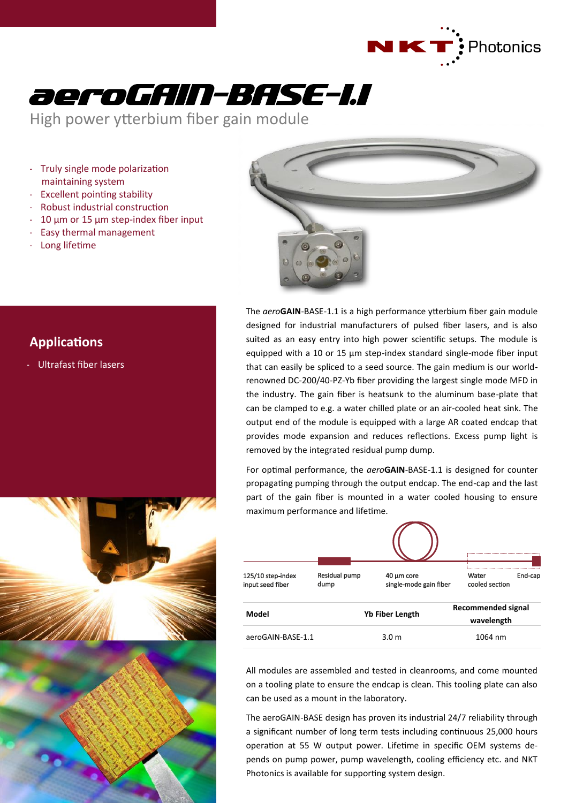



High power ytterbium fiber gain module

- Truly single mode polarization maintaining system
- Excellent pointing stability
- Robust industrial construction
- $10 \mu m$  or  $15 \mu m$  step-index fiber input
- Easy thermal management
- Long lifetime



# **Applications**

- Ultrafast fiber lasers



The *aero***GAIN**-BASE-1.1 is a high performance ytterbium fiber gain module designed for industrial manufacturers of pulsed fiber lasers, and is also suited as an easy entry into high power scientific setups. The module is equipped with a 10 or 15 µm step-index standard single-mode fiber input that can easily be spliced to a seed source. The gain medium is our worldrenowned DC-200/40-PZ-Yb fiber providing the largest single mode MFD in the industry. The gain fiber is heatsunk to the aluminum base-plate that can be clamped to e.g. a water chilled plate or an air-cooled heat sink. The output end of the module is equipped with a large AR coated endcap that provides mode expansion and reduces reflections. Excess pump light is removed by the integrated residual pump dump.

For optimal performance, the *aero***GAIN**-BASE-1.1 is designed for counter propagating pumping through the output endcap. The end-cap and the last part of the gain fiber is mounted in a water cooled housing to ensure maximum performance and lifetime.

| 125/10 step-index<br>input seed fiber | Residual pump<br>dump | 40 µm core<br>single-mode gain fiber | Water<br>cooled section                 | End-cap |
|---------------------------------------|-----------------------|--------------------------------------|-----------------------------------------|---------|
| Model                                 |                       | <b>Yb Fiber Length</b>               | <b>Recommended signal</b><br>wavelength |         |
| aeroGAIN-BASE-1.1                     |                       | 3.0 <sub>m</sub>                     | 1064 nm                                 |         |

All modules are assembled and tested in cleanrooms, and come mounted on a tooling plate to ensure the endcap is clean. This tooling plate can also can be used as a mount in the laboratory.

The aeroGAIN-BASE design has proven its industrial 24/7 reliability through a significant number of long term tests including continuous 25,000 hours operation at 55 W output power. Lifetime in specific OEM systems depends on pump power, pump wavelength, cooling efficiency etc. and NKT Photonics is available for supporting system design.